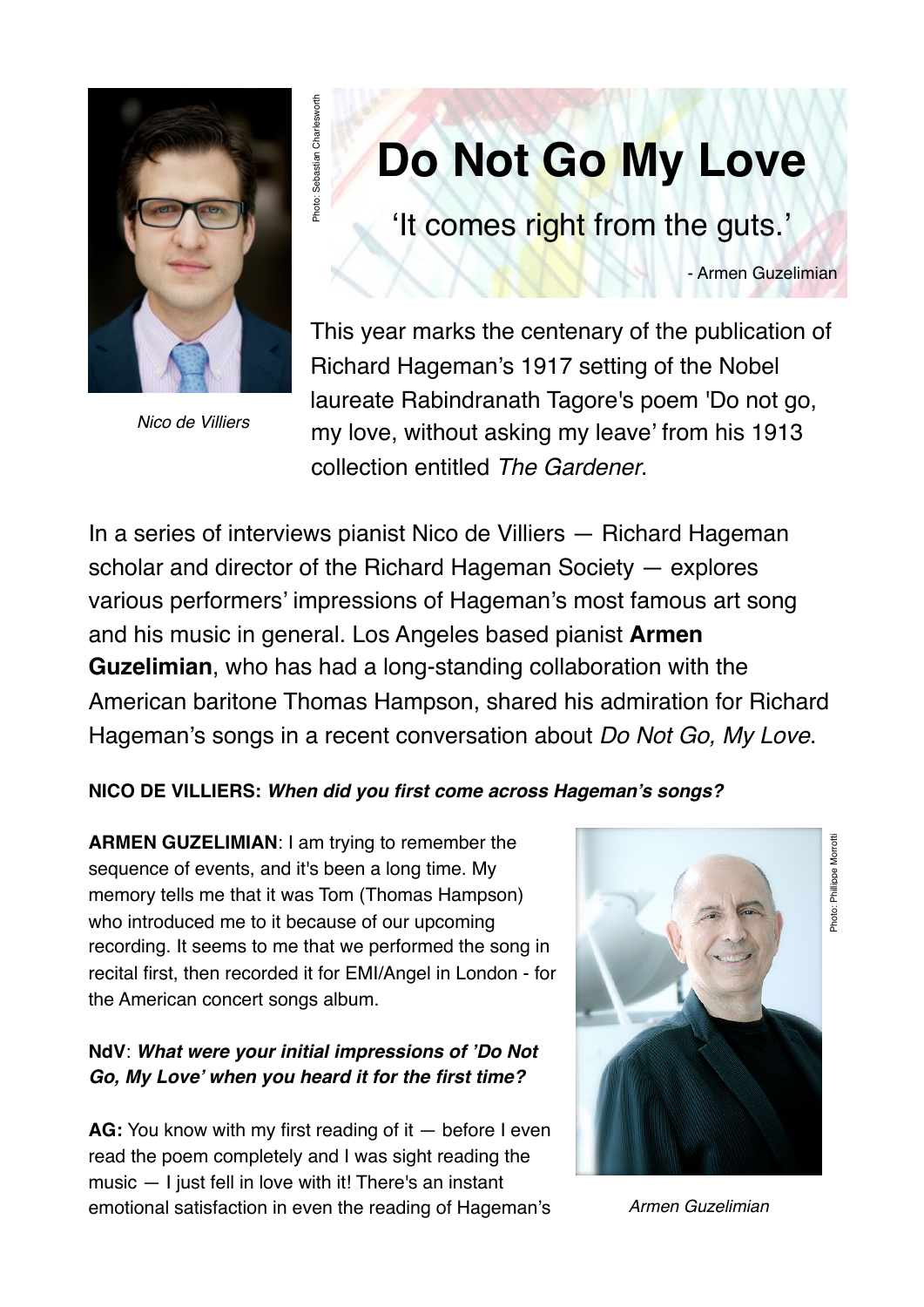

Photo: Sebastian Charlesworth

Photo: Sebastian Charleswort

*Nico de Villiers*

# **Do Not Go My Love**

'It comes right from the guts.'

- Armen Guzelimian

This year marks the centenary of the publication of Richard Hageman's 1917 setting of the Nobel laureate Rabindranath Tagore's poem 'Do not go, my love, without asking my leave' from his 1913 collection entitled *The Gardener*.

In a series of interviews pianist Nico de Villiers — Richard Hageman scholar and director of the Richard Hageman Society — explores various performers' impressions of Hageman's most famous art song and his music in general. Los Angeles based pianist **Armen Guzelimian**, who has had a long-standing collaboration with the American baritone Thomas Hampson, shared his admiration for Richard Hageman's songs in a recent conversation about *Do Not Go, My Love*.

#### **NICO DE VILLIERS:** *When did you first come across Hageman's songs?*

**ARMEN GUZELIMIAN**: I am trying to remember the sequence of events, and it's been a long time. My memory tells me that it was Tom (Thomas Hampson) who introduced me to it because of our upcoming recording. It seems to me that we performed the song in recital first, then recorded it for EMI/Angel in London - for the American concert songs album.

#### **NdV**: *What were your initial impressions of 'Do Not Go, My Love' when you heard it for the first time?*

**AG:** You know with my first reading of it — before I even read the poem completely and I was sight reading the music — I just fell in love with it! There's an instant emotional satisfaction in even the reading of Hageman's



*Armen Guzelimian*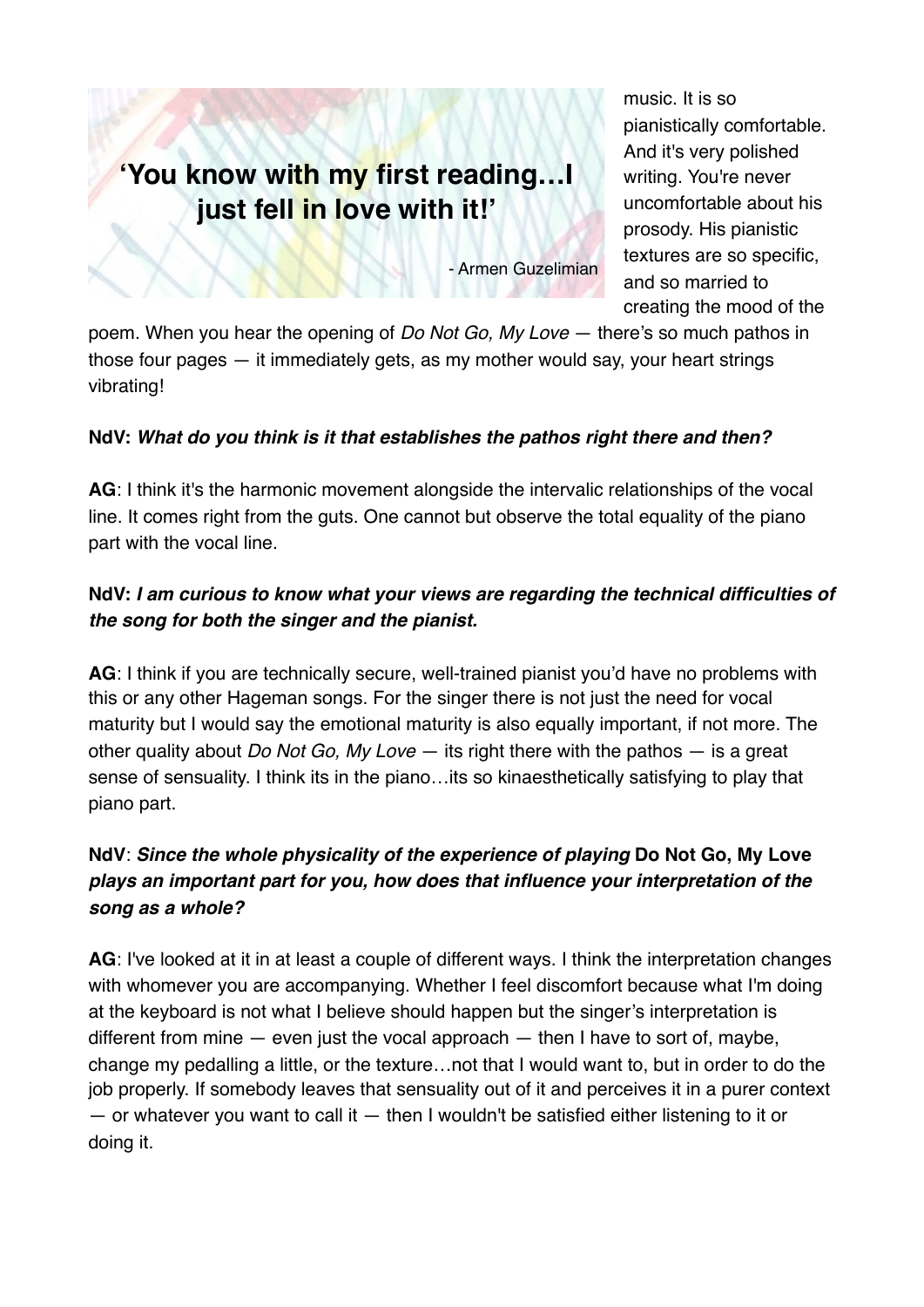## **'You know with my first reading…I just fell in love with it!'**

music. It is so pianistically comfortable. And it's very polished writing. You're never uncomfortable about his prosody. His pianistic textures are so specific, and so married to creating the mood of the

- Armen Guzelimian

poem. When you hear the opening of *Do Not Go, My Love* — there's so much pathos in those four pages — it immediately gets, as my mother would say, your heart strings vibrating!

#### **NdV:** *What do you think is it that establishes the pathos right there and then?*

**AG**: I think it's the harmonic movement alongside the intervalic relationships of the vocal line. It comes right from the guts. One cannot but observe the total equality of the piano part with the vocal line.

#### **NdV:** *I am curious to know what your views are regarding the technical difficulties of the song for both the singer and the pianist.*

**AG**: I think if you are technically secure, well-trained pianist you'd have no problems with this or any other Hageman songs. For the singer there is not just the need for vocal maturity but I would say the emotional maturity is also equally important, if not more. The other quality about *Do Not Go, My Love* — its right there with the pathos — is a great sense of sensuality. I think its in the piano…its so kinaesthetically satisfying to play that piano part.

### **NdV**: *Since the whole physicality of the experience of playing* **Do Not Go, My Love** *plays an important part for you, how does that influence your interpretation of the song as a whole?*

**AG**: I've looked at it in at least a couple of different ways. I think the interpretation changes with whomever you are accompanying. Whether I feel discomfort because what I'm doing at the keyboard is not what I believe should happen but the singer's interpretation is different from mine  $-$  even just the vocal approach  $-$  then I have to sort of, maybe, change my pedalling a little, or the texture…not that I would want to, but in order to do the job properly. If somebody leaves that sensuality out of it and perceives it in a purer context  $-$  or whatever you want to call it  $-$  then I wouldn't be satisfied either listening to it or doing it.